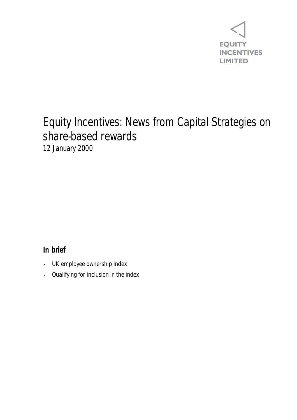

## Equity Incentives: News from Capital Strategies on share-based rewards 12 January 2000

## **In brief**

- UK employee ownership index
- Qualifying for inclusion in the index